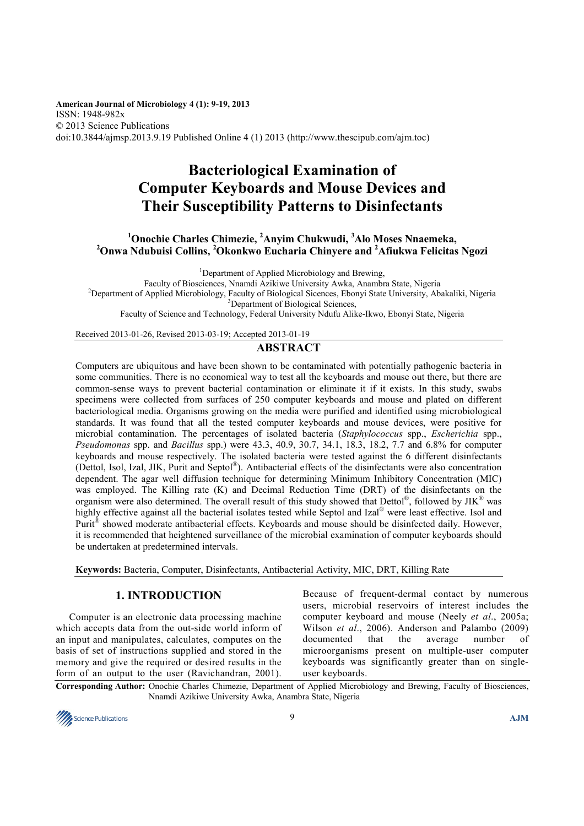**American Journal of Microbiology 4 (1): 9-19, 2013**  ISSN: 1948-982x © 2013 Science Publications doi:10.3844/ajmsp.2013.9.19 Published Online 4 (1) 2013 (http://www.thescipub.com/ajm.toc)

# **Bacteriological Examination of Computer Keyboards and Mouse Devices and Their Susceptibility Patterns to Disinfectants**

# **<sup>1</sup>Onochie Charles Chimezie, <sup>2</sup>Anyim Chukwudi, <sup>3</sup>Alo Moses Nnaemeka, <sup>2</sup>Onwa Ndubuisi Collins, <sup>2</sup>Okonkwo Eucharia Chinyere and <sup>2</sup>Afiukwa Felicitas Ngozi**

<sup>1</sup>Department of Applied Microbiology and Brewing,

Faculty of Biosciences, Nnamdi Azikiwe University Awka, Anambra State, Nigeria <sup>2</sup>Department of Applied Microbiology, Faculty of Biological Sicences, Ebonyi State University, Abakaliki, Nigeria <sup>3</sup>Department of Biological Sciences,

Faculty of Science and Technology, Federal University Ndufu Alike-Ikwo, Ebonyi State, Nigeria

Received 2013-01-26, Revised 2013-03-19; Accepted 2013-01-19

# **ABSTRACT**

Computers are ubiquitous and have been shown to be contaminated with potentially pathogenic bacteria in some communities. There is no economical way to test all the keyboards and mouse out there, but there are common-sense ways to prevent bacterial contamination or eliminate it if it exists. In this study, swabs specimens were collected from surfaces of 250 computer keyboards and mouse and plated on different bacteriological media. Organisms growing on the media were purified and identified using microbiological standards. It was found that all the tested computer keyboards and mouse devices, were positive for microbial contamination. The percentages of isolated bacteria (*Staphylococcus* spp., *Escherichia* spp., *Pseudomonas* spp. and *Bacillus* spp.) were 43.3, 40.9, 30.7, 34.1, 18.3, 18.2, 7.7 and 6.8% for computer keyboards and mouse respectively. The isolated bacteria were tested against the 6 different disinfectants (Dettol, Isol, Izal, JIK, Purit and Septol®). Antibacterial effects of the disinfectants were also concentration dependent. The agar well diffusion technique for determining Minimum Inhibitory Concentration (MIC) was employed. The Killing rate (K) and Decimal Reduction Time (DRT) of the disinfectants on the organism were also determined. The overall result of this study showed that  $Detto^{0}$ , followed by JIK<sup>®</sup> was highly effective against all the bacterial isolates tested while Septol and Izal® were least effective. Isol and Purit® showed moderate antibacterial effects. Keyboards and mouse should be disinfected daily. However, it is recommended that heightened surveillance of the microbial examination of computer keyboards should be undertaken at predetermined intervals.

**Keywords:** Bacteria, Computer, Disinfectants, Antibacterial Activity, MIC, DRT, Killing Rate

### **1. INTRODUCTION**

Computer is an electronic data processing machine which accepts data from the out-side world inform of an input and manipulates, calculates, computes on the basis of set of instructions supplied and stored in the memory and give the required or desired results in the form of an output to the user (Ravichandran, 2001).

Because of frequent-dermal contact by numerous users, microbial reservoirs of interest includes the computer keyboard and mouse (Neely *et al*., 2005a; Wilson *et al*., 2006). Anderson and Palambo (2009) documented that the average number of microorganisms present on multiple-user computer keyboards was significantly greater than on singleuser keyboards.

**Corresponding Author:** Onochie Charles Chimezie, Department of Applied Microbiology and Brewing, Faculty of Biosciences, Nnamdi Azikiwe University Awka, Anambra State, Nigeria

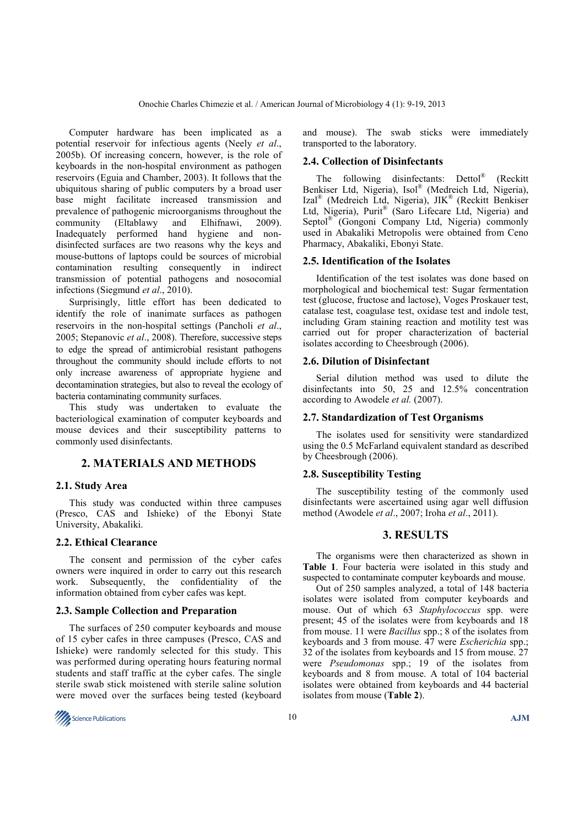Computer hardware has been implicated as a potential reservoir for infectious agents (Neely *et al*., 2005b). Of increasing concern, however, is the role of keyboards in the non-hospital environment as pathogen reservoirs (Eguia and Chamber, 2003). It follows that the ubiquitous sharing of public computers by a broad user base might facilitate increased transmission and prevalence of pathogenic microorganisms throughout the community (Eltablawy and Elhifnawi, 2009). Inadequately performed hand hygiene and nondisinfected surfaces are two reasons why the keys and mouse-buttons of laptops could be sources of microbial contamination resulting consequently in indirect transmission of potential pathogens and nosocomial infections (Siegmund *et al*., 2010).

Surprisingly, little effort has been dedicated to identify the role of inanimate surfaces as pathogen reservoirs in the non-hospital settings (Pancholi *et al*., 2005; Stepanovic *et al*., 2008). Therefore, successive steps to edge the spread of antimicrobial resistant pathogens throughout the community should include efforts to not only increase awareness of appropriate hygiene and decontamination strategies, but also to reveal the ecology of bacteria contaminating community surfaces.

This study was undertaken to evaluate the bacteriological examination of computer keyboards and mouse devices and their susceptibility patterns to commonly used disinfectants.

# **2. MATERIALS AND METHODS**

#### **2.1. Study Area**

This study was conducted within three campuses (Presco, CAS and Ishieke) of the Ebonyi State University, Abakaliki.

### **2.2. Ethical Clearance**

The consent and permission of the cyber cafes owners were inquired in order to carry out this research work. Subsequently, the confidentiality of the information obtained from cyber cafes was kept.

#### **2.3. Sample Collection and Preparation**

The surfaces of 250 computer keyboards and mouse of 15 cyber cafes in three campuses (Presco, CAS and Ishieke) were randomly selected for this study. This was performed during operating hours featuring normal students and staff traffic at the cyber cafes. The single sterile swab stick moistened with sterile saline solution were moved over the surfaces being tested (keyboard and mouse). The swab sticks were immediately transported to the laboratory.

#### **2.4. Collection of Disinfectants**

The following disinfectants: Dettol<sup>®</sup> (Reckitt Benkiser Ltd, Nigeria), Isol® (Medreich Ltd, Nigeria), Izal® (Medreich Ltd, Nigeria), JIK® (Reckitt Benkiser Ltd, Nigeria), Purit® (Saro Lifecare Ltd, Nigeria) and Septol® (Gongoni Company Ltd, Nigeria) commonly used in Abakaliki Metropolis were obtained from Ceno Pharmacy, Abakaliki, Ebonyi State.

#### **2.5. Identification of the Isolates**

Identification of the test isolates was done based on morphological and biochemical test: Sugar fermentation test (glucose, fructose and lactose), Voges Proskauer test, catalase test, coagulase test, oxidase test and indole test, including Gram staining reaction and motility test was carried out for proper characterization of bacterial isolates according to Cheesbrough (2006).

#### **2.6. Dilution of Disinfectant**

Serial dilution method was used to dilute the disinfectants into 50, 25 and 12.5% concentration according to Awodele *et al.* (2007).

#### **2.7. Standardization of Test Organisms**

The isolates used for sensitivity were standardized using the 0.5 McFarland equivalent standard as described by Cheesbrough (2006).

#### **2.8. Susceptibility Testing**

The susceptibility testing of the commonly used disinfectants were ascertained using agar well diffusion method (Awodele *et al*., 2007; Iroha *et al*., 2011).

### **3. RESULTS**

The organisms were then characterized as shown in **Table 1**. Four bacteria were isolated in this study and suspected to contaminate computer keyboards and mouse.

Out of 250 samples analyzed, a total of 148 bacteria isolates were isolated from computer keyboards and mouse. Out of which 63 *Staphylococcus* spp. were present; 45 of the isolates were from keyboards and 18 from mouse. 11 were *Bacillus* spp.; 8 of the isolates from keyboards and 3 from mouse. 47 were *Escherichia* spp.; 32 of the isolates from keyboards and 15 from mouse. 27 were *Pseudomonas* spp.; 19 of the isolates from keyboards and 8 from mouse. A total of 104 bacterial isolates were obtained from keyboards and 44 bacterial isolates from mouse (**Table 2**).

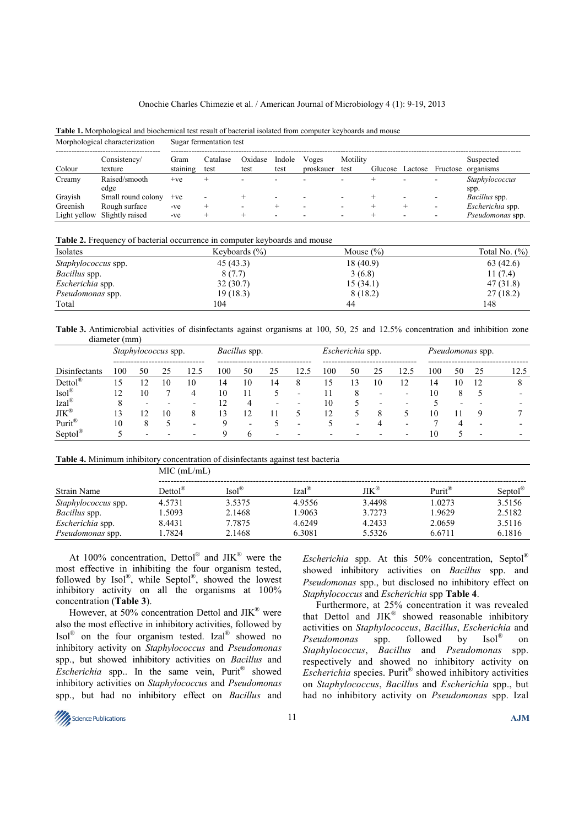#### Onochie Charles Chimezie et al. / American Journal of Microbiology 4 (1): 9-19, 2013

| Morphological characterization |                         | Sugar fermentation test |                  |                 |                |                    |                  |         |         |          |                        |
|--------------------------------|-------------------------|-------------------------|------------------|-----------------|----------------|--------------------|------------------|---------|---------|----------|------------------------|
| Colour                         | Consistency/<br>texture | Gram<br>staining        | Catalase<br>test | Oxidase<br>test | Indole<br>test | Voges<br>proskauer | Motility<br>test | Glucose | Lactose | Fructose | Suspected<br>organisms |
| Creamy                         | Raised/smooth           | $+ve$                   |                  |                 |                |                    |                  |         |         |          | Staphylococcus         |
|                                | edge                    |                         |                  |                 |                |                    |                  |         |         |          | spp.                   |
| Gravish                        | Small round colony      | $+ve$                   |                  |                 |                |                    |                  |         |         | ۰        | <i>Bacillus</i> spp.   |
| Greenish                       | Rough surface           | $-ve$                   |                  |                 |                |                    |                  |         |         |          | Escherichia spp.       |
| Light yellow                   | Slightly raised         | $-ve$                   |                  |                 |                |                    | -                |         |         |          | Pseudomonas spp.       |

**Table 1.** Morphological and biochemical test result of bacterial isolated from computer keyboards and mouse

**Table 2.** Frequency of bacterial occurrence in computer keyboards and mouse

| Isolates                   | Keyboards $(\% )$ | Mouse $(\% )$ | Total No. $(\%)$ |
|----------------------------|-------------------|---------------|------------------|
| <i>Staphylococcus</i> spp. | 45(43.3)          | 18 (40.9)     | 63(42.6)         |
| <i>Bacillus</i> spp.       | 8(7.7)            | 3(6.8)        | 11(7.4)          |
| Escherichia spp.           | 32(30.7)          | 15(34.1)      | 47(31.8)         |
| <i>Pseudomonas</i> spp.    | 19(18.3)          | 8(18.2)       | 27(18.2)         |
| Total                      | 104               | 44            | 148              |

**Table 3.** Antimicrobial activities of disinfectants against organisms at 100, 50, 25 and 12.5% concentration and inhibition zone diameter (mm)

|                        |               |                          | <i>Staphylococcus</i> spp. |      |     | Bacillus spp.            |    |      |                          | Escherichia spp. |    |      |     |    | Pseudomonas spp. |      |
|------------------------|---------------|--------------------------|----------------------------|------|-----|--------------------------|----|------|--------------------------|------------------|----|------|-----|----|------------------|------|
| Disinfectants          | 100           | 50                       | 25                         | 12.5 | 100 | 50                       | 25 | 12.5 | 100                      | 50               | 25 | 12.5 | 100 | 50 | 25               | 12.5 |
| $Dertol^{\mathcal{R}}$ | 15            |                          | 10                         | 10   | 14  | 10                       | 14 | 8    |                          |                  | 10 | ာ    | 14  | 10 | 12               |      |
| $Isol^{\circledR}$     | ာ             | 10                       |                            | 4    | 10  | 11                       |    |      |                          |                  |    |      | 10  |    |                  |      |
| $Izal^{\mathbb{R}}$    | 8             | $\overline{\phantom{0}}$ |                            |      | 12  | 4                        |    |      | 10                       |                  |    |      |     |    |                  |      |
| $JIK^{\circledR}$      | $\mathcal{E}$ | ר ו                      | 10                         | 8    | 13  | 12                       | 11 |      | 12                       |                  |    |      | 10  |    | Q.               |      |
| Purit®                 | 10            |                          |                            |      | Q   | $\overline{\phantom{0}}$ |    |      |                          | ۰                |    |      |     |    |                  |      |
| $Septol^{\circledR}$   |               | $\overline{\phantom{0}}$ |                            |      |     | h                        |    |      | $\overline{\phantom{0}}$ | -                |    | -    | 10  |    |                  |      |

**Table 4.** Minimum inhibitory concentration of disinfectants against test bacteria

|                            | MIC (mL/mL)        |                  |                  |                          |                    |            |  |  |  |  |
|----------------------------|--------------------|------------------|------------------|--------------------------|--------------------|------------|--|--|--|--|
| Strain Name                | $Dettol^{\otimes}$ | $Isol^{\otimes}$ | $Izal^{\otimes}$ | $J\mathrm{IK}^\circledR$ | Purit <sup>®</sup> | $S$ eptol® |  |  |  |  |
| <i>Staphylococcus</i> spp. | 4.5731             | 3.5375           | 4.9556           | 3.4498                   | 1.0273             | 3.5156     |  |  |  |  |
| <i>Bacillus</i> spp.       | .5093              | 2.1468           | 1.9063           | 3.7273                   | 1.9629             | 2.5182     |  |  |  |  |
| Escherichia spp.           | 8.4431             | 7.7875           | 4.6249           | 4.2433                   | 2.0659             | 3.5116     |  |  |  |  |
| <i>Pseudomonas</i> spp.    | 1.7824             | 2.1468           | 6.3081           | 5.5326                   | 6.6711             | 6.1816     |  |  |  |  |

At 100% concentration, Dettol® and  $JIK^{\circledast}$  were the most effective in inhibiting the four organism tested, followed by Isol®, while Septol®, showed the lowest inhibitory activity on all the organisms at 100% concentration (**Table 3**).

However, at 50% concentration Dettol and  $JIK^{\circledast}$  were also the most effective in inhibitory activities, followed by Isol<sup>®</sup> on the four organism tested. Izal<sup>®</sup> showed no inhibitory activity on *Staphylococcus* and *Pseudomonas* spp., but showed inhibitory activities on *Bacillus* and Escherichia spp.. In the same vein, Purit® showed inhibitory activities on *Staphylococcus* and *Pseudomonas*  spp., but had no inhibitory effect on *Bacillus* and

*Escherichia* spp. At this 50% concentration, Septol® showed inhibitory activities on *Bacillus* spp. and *Pseudomonas* spp., but disclosed no inhibitory effect on *Staphylococcus* and *Escherichia* spp **Table 4**.

Furthermore, at 25% concentration it was revealed that Dettol and  $JIK^{\circledast}$  showed reasonable inhibitory activities on *Staphylococcus*, *Bacillus*, *Escherichia* and *Pseudomonas* spp. followed by on *Staphylococcus*, *Bacillus* and *Pseudomonas* spp. respectively and showed no inhibitory activity on Escherichia species. Purit<sup>®</sup> showed inhibitory activities on *Staphylococcus*, *Bacillus* and *Escherichia* spp., but had no inhibitory activity on *Pseudomonas* spp. Izal

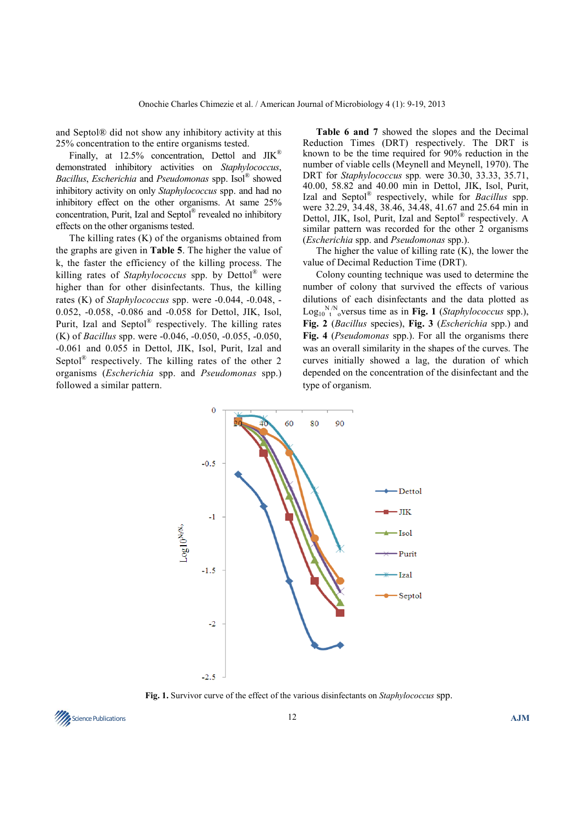and Septol® did not show any inhibitory activity at this 25% concentration to the entire organisms tested.

Finally, at 12.5% concentration, Dettol and JIK<sup>®</sup> demonstrated inhibitory activities on *Staphylococcus*, *Bacillus*, *Escherichia* and *Pseudomonas* spp. Isol® showed inhibitory activity on only *Staphylococcus* spp. and had no inhibitory effect on the other organisms. At same 25% concentration, Purit, Izal and Septol® revealed no inhibitory effects on the other organisms tested.

The killing rates (K) of the organisms obtained from the graphs are given in **Table 5**. The higher the value of k, the faster the efficiency of the killing process. The killing rates of *Staphylococcus* spp. by Dettol® were higher than for other disinfectants. Thus, the killing rates (K) of *Staphylococcus* spp. were -0.044, -0.048, - 0.052, -0.058, -0.086 and -0.058 for Dettol, JIK, Isol, Purit, Izal and Septol® respectively. The killing rates (K) of *Bacillus* spp. were -0.046, -0.050, -0.055, -0.050, -0.061 and 0.055 in Dettol, JIK, Isol, Purit, Izal and Septol<sup>®</sup> respectively. The killing rates of the other 2 organisms (*Escherichia* spp. and *Pseudomonas* spp.) followed a similar pattern.

**Table 6 and 7** showed the slopes and the Decimal Reduction Times (DRT) respectively. The DRT is known to be the time required for 90% reduction in the number of viable cells (Meynell and Meynell, 1970). The DRT for *Staphylococcus* spp*.* were 30.30, 33.33, 35.71, 40.00, 58.82 and 40.00 min in Dettol, JIK, Isol, Purit, Izal and Septol® respectively, while for *Bacillus* spp. were 32.29, 34.48, 38.46, 34.48, 41.67 and 25.64 min in Dettol, JIK, Isol, Purit, Izal and Septol® respectively. A similar pattern was recorded for the other 2 organisms (*Escherichia* spp. and *Pseudomonas* spp.).

The higher the value of killing rate (K), the lower the value of Decimal Reduction Time (DRT).

Colony counting technique was used to determine the number of colony that survived the effects of various dilutions of each disinfectants and the data plotted as  $\text{Log}_{10}^{\text{N/N}}$ <sub>o</sub>versus time as in **Fig. 1** (*Staphylococcus* spp.), **Fig. 2** (*Bacillus* species), **Fig. 3** (*Escherichia* spp.) and **Fig. 4** (*Pseudomonas* spp.). For all the organisms there was an overall similarity in the shapes of the curves. The curves initially showed a lag, the duration of which depended on the concentration of the disinfectant and the type of organism.



**Fig. 1.** Survivor curve of the effect of the various disinfectants on *Staphylococcus* spp.

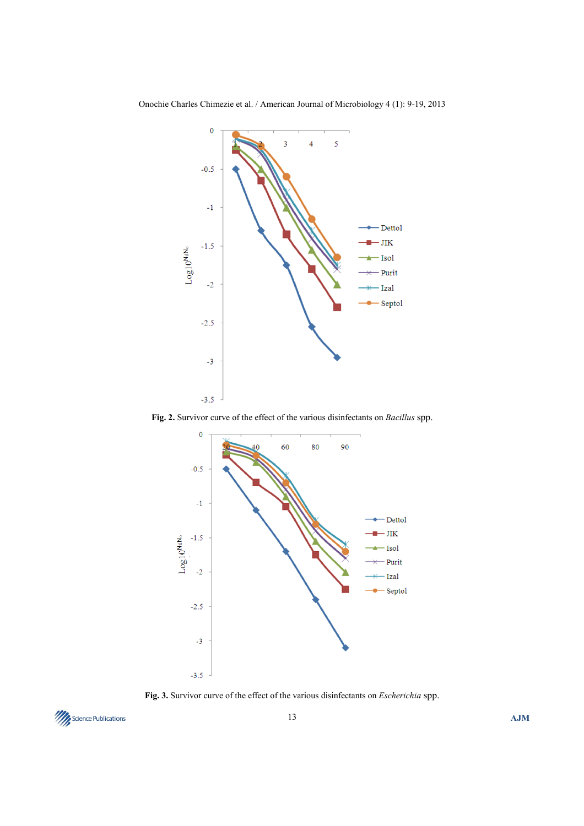

Onochie Charles Chimezie et al. / American Journal of Microbiology 4 (1): 9-19, 2013

**Fig. 2.** Survivor curve of the effect of the various disinfectants on *Bacillus* spp.



**Fig. 3.** Survivor curve of the effect of the various disinfectants on *Escherichia* spp.

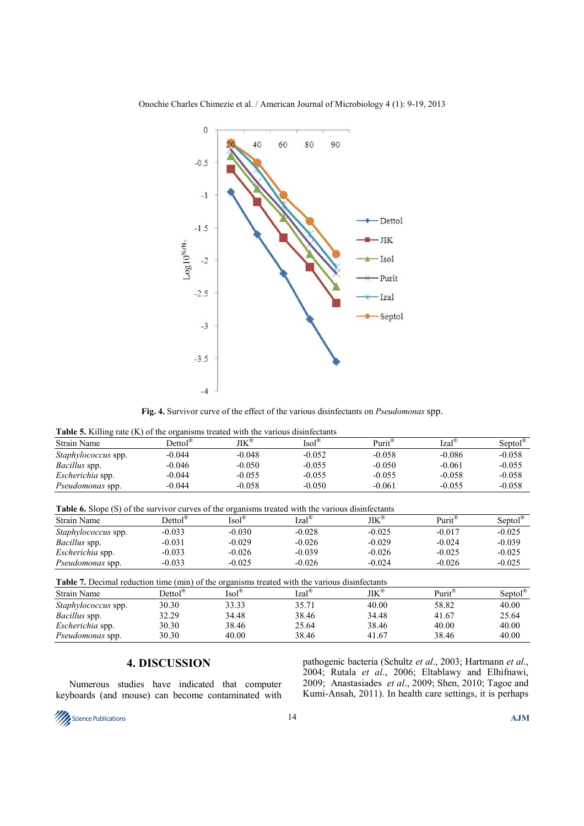

Onochie Charles Chimezie et al. / American Journal of Microbiology 4 (1): 9-19, 2013

**Fig. 4.** Survivor curve of the effect of the various disinfectants on *Pseudomonas* spp.

| Strain Name                | Dettol $^{\circ}$ | $\mathrm{JIK}^\circledast$ | $\text{Isol}^{\infty}$ | Purit <sup>®</sup> | $Izal^{\otimes}$ | $Sentol^{\omega}$ |
|----------------------------|-------------------|----------------------------|------------------------|--------------------|------------------|-------------------|
| <i>Staphylococcus</i> spp. | $-0.044$          | $-0.048$                   | $-0.052$               | $-0.058$           | $-0.086$         | $-0.058$          |
| <i>Bacillus</i> spp.       | $-0.046$          | $-0.050$                   | $-0.055$               | $-0.050$           | $-0.061$         | $-0.055$          |
| <i>Escherichia</i> spp.    | $-0.044$          | $-0.055$                   | $-0.055$               | $-0.055$           | $-0.058$         | $-0.058$          |
| <i>Pseudomonas</i> spp.    | $-0.044$          | $-0.058$                   | $-0.050$               | $-0.061$           | $-0.055$         | $-0.058$          |

**Table 6.** Slope (S) of the survivor curves of the organisms treated with the various disinfectants

| <b>Strain Name</b>         | $Dertol^{\otimes}$ | $\text{Isol}^{\circledR}$ | $Izal^{\otimes}$ | $JIK^{\tiny{\textregistered}}$ | $Purit^{\circledR}$ | $Sentol^{\circledR}$ |
|----------------------------|--------------------|---------------------------|------------------|--------------------------------|---------------------|----------------------|
| <i>Staphylococcus</i> spp. | $-0.033$           | $-0.030$                  | $-0.028$         | $-0.025$                       | $-0.017$            | $-0.025$             |
| <i>Bacillus</i> spp.       | $-0.031$           | $-0.029$                  | $-0.026$         | $-0.029$                       | $-0.024$            | $-0.039$             |
| <i>Escherichia</i> spp.    | $-0.033$           | $-0.026$                  | $-0.039$         | $-0.026$                       | $-0.025$            | $-0.025$             |
| <i>Pseudomonas</i> spp.    | $-0.033$           | $-0.025$                  | $-0.026$         | $-0.024$                       | $-0.026$            | $-0.025$             |

**Table 7.** Decimal reduction time (min) of the organisms treated with the various disinfectants

| <b>Table 7. Decimal requestent three (min) of the organisms treated with the various dismitectums</b> |                                               |                         |                  |                                |                     |                     |  |  |  |  |
|-------------------------------------------------------------------------------------------------------|-----------------------------------------------|-------------------------|------------------|--------------------------------|---------------------|---------------------|--|--|--|--|
| Strain Name                                                                                           | $D{\text{ettol}}^{\text{\tiny (\!\text{R})}}$ | $\text{Isol}^{\otimes}$ | $Izal^{\otimes}$ | $JIK^{\tiny{\textregistered}}$ | $Purit^{\circledR}$ | Septol <sup>®</sup> |  |  |  |  |
| <i>Staphylococcus</i> spp.                                                                            | 30.30                                         | 33.33                   | 35.71            | 40.00                          | 58.82               | 40.00               |  |  |  |  |
| <i>Bacillus</i> spp.                                                                                  | 32.29                                         | 34.48                   | 38.46            | 34.48                          | 41.67               | 25.64               |  |  |  |  |
| Escherichia spp.                                                                                      | 30.30                                         | 38.46                   | 25.64            | 38.46                          | 40.00               | 40.00               |  |  |  |  |
| <i>Pseudomonas</i> spp.                                                                               | 30.30                                         | 40.00                   | 38.46            | 41.67                          | 38.46               | 40.00               |  |  |  |  |

# **4. DISCUSSION**

Numerous studies have indicated that computer keyboards (and mouse) can become contaminated with pathogenic bacteria (Schultz *et al*., 2003; Hartmann *et al*., 2004; Rutala *et al*., 2006; Eltablawy and Elhifnawi, 2009; Anastasiades *et al*., 2009; Shen, 2010; Tagoe and Kumi-Ansah, 2011). In health care settings, it is perhaps

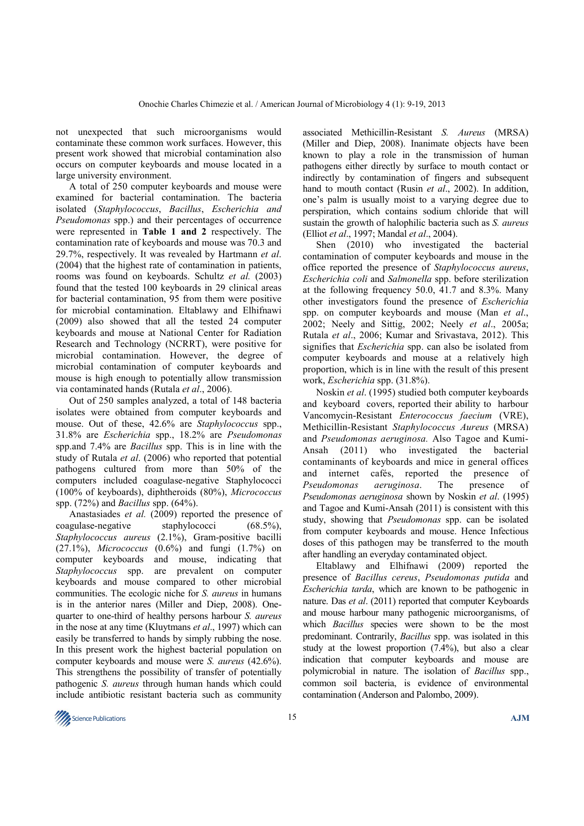not unexpected that such microorganisms would contaminate these common work surfaces. However, this present work showed that microbial contamination also occurs on computer keyboards and mouse located in a large university environment.

A total of 250 computer keyboards and mouse were examined for bacterial contamination. The bacteria isolated (*Staphylococcus*, *Bacillus*, *Escherichia and Pseudomonas* spp.) and their percentages of occurrence were represented in **Table 1 and 2** respectively. The contamination rate of keyboards and mouse was 70.3 and 29.7%, respectively. It was revealed by Hartmann *et al*. (2004) that the highest rate of contamination in patients, rooms was found on keyboards. Schultz *et al.* (2003) found that the tested 100 keyboards in 29 clinical areas for bacterial contamination, 95 from them were positive for microbial contamination. Eltablawy and Elhifnawi (2009) also showed that all the tested 24 computer keyboards and mouse at National Center for Radiation Research and Technology (NCRRT), were positive for microbial contamination. However, the degree of microbial contamination of computer keyboards and mouse is high enough to potentially allow transmission via contaminated hands (Rutala *et al*., 2006).

Out of 250 samples analyzed, a total of 148 bacteria isolates were obtained from computer keyboards and mouse. Out of these, 42.6% are *Staphylococcus* spp., 31.8% are *Escherichia* spp., 18.2% are *Pseudomonas*  spp.and 7.4% are *Bacillus* spp. This is in line with the study of Rutala *et al*. (2006) who reported that potential pathogens cultured from more than 50% of the computers included coagulase-negative Staphylococci (100% of keyboards), diphtheroids (80%), *Micrococcus*  spp. (72%) and *Bacillus* spp. (64%).

Anastasiades *et al.* (2009) reported the presence of coagulase-negative staphylococci (68.5%), *Staphylococcus aureus* (2.1%), Gram-positive bacilli (27.1%), *Micrococcus* (0.6%) and fungi (1.7%) on computer keyboards and mouse, indicating that *Staphylococcus* spp. are prevalent on computer keyboards and mouse compared to other microbial communities. The ecologic niche for *S. aureus* in humans is in the anterior nares (Miller and Diep, 2008). Onequarter to one-third of healthy persons harbour *S. aureus*  in the nose at any time (Kluytmans *et al*., 1997) which can easily be transferred to hands by simply rubbing the nose. In this present work the highest bacterial population on computer keyboards and mouse were *S. aureus* (42.6%). This strengthens the possibility of transfer of potentially pathogenic *S. aureus* through human hands which could include antibiotic resistant bacteria such as community

associated Methicillin-Resistant *S. Aureus* (MRSA) (Miller and Diep, 2008). Inanimate objects have been known to play a role in the transmission of human pathogens either directly by surface to mouth contact or indirectly by contamination of fingers and subsequent hand to mouth contact (Rusin *et al*., 2002). In addition, one's palm is usually moist to a varying degree due to perspiration, which contains sodium chloride that will sustain the growth of halophilic bacteria such as *S. aureus* (Elliot *et al*., 1997; Mandal *et al*., 2004).

Shen (2010) who investigated the bacterial contamination of computer keyboards and mouse in the office reported the presence of *Staphylococcus aureus*, *Escherichia coli* and *Salmonella* spp. before sterilization at the following frequency 50.0, 41.7 and 8.3%. Many other investigators found the presence of *Escherichia* spp. on computer keyboards and mouse (Man *et al*., 2002; Neely and Sittig, 2002; Neely *et al*., 2005a; Rutala *et al*., 2006; Kumar and Srivastava, 2012). This signifies that *Escherichia* spp. can also be isolated from computer keyboards and mouse at a relatively high proportion, which is in line with the result of this present work, *Escherichia* spp. (31.8%).

Noskin *et al*. (1995) studied both computer keyboards and keyboard covers, reported their ability to harbour Vancomycin-Resistant *Enterococcus faecium* (VRE), Methicillin-Resistant *Staphylococcus Aureus* (MRSA) and *Pseudomonas aeruginosa.* Also Tagoe and Kumi-Ansah (2011) who investigated the bacterial contaminants of keyboards and mice in general offices and internet cafés, reported the presence of<br>Pseudomonas aeruginosa. The presence of *Pseudomonas aeruginosa*. The presence of *Pseudomonas aeruginosa* shown by Noskin *et al*. (1995) and Tagoe and Kumi-Ansah (2011) is consistent with this study, showing that *Pseudomonas* spp. can be isolated from computer keyboards and mouse. Hence Infectious doses of this pathogen may be transferred to the mouth after handling an everyday contaminated object.

Eltablawy and Elhifnawi (2009) reported the presence of *Bacillus cereus*, *Pseudomonas putida* and *Escherichia tarda*, which are known to be pathogenic in nature. Das *et al*. (2011) reported that computer Keyboards and mouse harbour many pathogenic microorganisms, of which *Bacillus* species were shown to be the most predominant. Contrarily, *Bacillus* spp. was isolated in this study at the lowest proportion (7.4%), but also a clear indication that computer keyboards and mouse are polymicrobial in nature. The isolation of *Bacillus* spp., common soil bacteria, is evidence of environmental contamination (Anderson and Palombo, 2009).

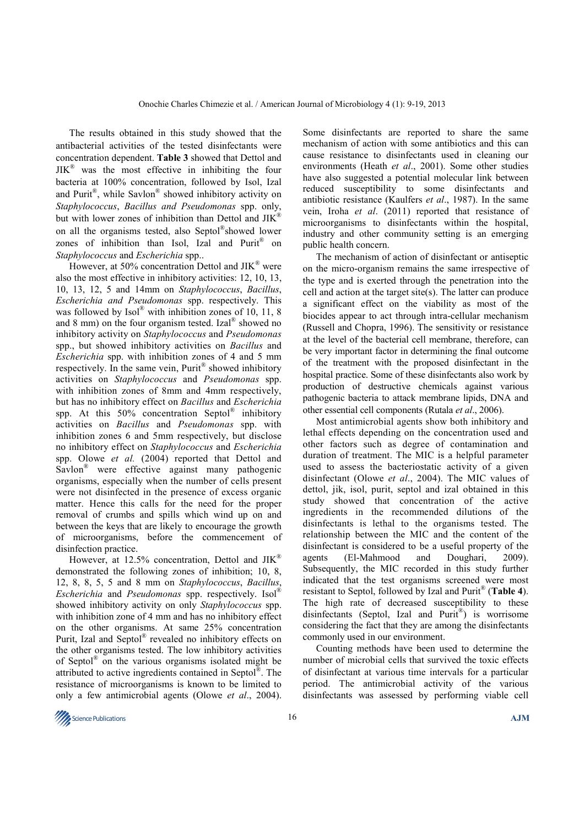The results obtained in this study showed that the antibacterial activities of the tested disinfectants were concentration dependent. **Table 3** showed that Dettol and  $JIK^{\circledR}$  was the most effective in inhibiting the four bacteria at 100% concentration, followed by Isol, Izal and Purit®, while Savlon® showed inhibitory activity on *Staphylococcus*, *Bacillus and Pseudomonas* spp. only, but with lower zones of inhibition than Dettol and JIK<sup>®</sup> on all the organisms tested, also Septol® showed lower zones of inhibition than Isol, Izal and Purit® on *Staphylococcus* and *Escherichia* spp..

However, at 50% concentration Dettol and  $JIK^{\circledast}$  were also the most effective in inhibitory activities: 12, 10, 13, 10, 13, 12, 5 and 14mm on *Staphylococcus*, *Bacillus*, *Escherichia and Pseudomonas* spp. respectively. This was followed by  $Isol^{\mathcal{B}}$  with inhibition zones of 10, 11, 8 and 8 mm) on the four organism tested. Izal® showed no inhibitory activity on *Staphylococcus* and *Pseudomonas* spp., but showed inhibitory activities on *Bacillus* and *Escherichia* spp. with inhibition zones of 4 and 5 mm respectively. In the same vein, Purit® showed inhibitory activities on *Staphylococcus* and *Pseudomonas* spp. with inhibition zones of 8mm and 4mm respectively, but has no inhibitory effect on *Bacillus* and *Escherichia*  spp. At this  $50\%$  concentration Septol® inhibitory activities on *Bacillus* and *Pseudomonas* spp. with inhibition zones 6 and 5mm respectively, but disclose no inhibitory effect on *Staphylococcus* and *Escherichia*  spp. Olowe *et al.* (2004) reported that Dettol and Savlon® were effective against many pathogenic organisms, especially when the number of cells present were not disinfected in the presence of excess organic matter. Hence this calls for the need for the proper removal of crumbs and spills which wind up on and between the keys that are likely to encourage the growth of microorganisms, before the commencement of disinfection practice.

However, at 12.5% concentration, Dettol and JIK<sup>®</sup> demonstrated the following zones of inhibition; 10, 8, 12, 8, 8, 5, 5 and 8 mm on *Staphylococcus*, *Bacillus*, *Escherichia* and *Pseudomonas* spp. respectively. Isol® showed inhibitory activity on only *Staphylococcus* spp. with inhibition zone of 4 mm and has no inhibitory effect on the other organisms. At same 25% concentration Purit, Izal and Septol® revealed no inhibitory effects on the other organisms tested. The low inhibitory activities of Septol® on the various organisms isolated might be attributed to active ingredients contained in Septol®. The resistance of microorganisms is known to be limited to only a few antimicrobial agents (Olowe *et al*., 2004).

Some disinfectants are reported to share the same mechanism of action with some antibiotics and this can cause resistance to disinfectants used in cleaning our environments (Heath *et al*., 2001). Some other studies have also suggested a potential molecular link between reduced susceptibility to some disinfectants and antibiotic resistance (Kaulfers *et al*., 1987). In the same vein, Iroha *et al*. (2011) reported that resistance of microorganisms to disinfectants within the hospital, industry and other community setting is an emerging public health concern.

The mechanism of action of disinfectant or antiseptic on the micro-organism remains the same irrespective of the type and is exerted through the penetration into the cell and action at the target site(s). The latter can produce a significant effect on the viability as most of the biocides appear to act through intra-cellular mechanism (Russell and Chopra, 1996). The sensitivity or resistance at the level of the bacterial cell membrane, therefore, can be very important factor in determining the final outcome of the treatment with the proposed disinfectant in the hospital practice. Some of these disinfectants also work by production of destructive chemicals against various pathogenic bacteria to attack membrane lipids, DNA and other essential cell components (Rutala *et al*., 2006).

Most antimicrobial agents show both inhibitory and lethal effects depending on the concentration used and other factors such as degree of contamination and duration of treatment. The MIC is a helpful parameter used to assess the bacteriostatic activity of a given disinfectant (Olowe *et al*., 2004). The MIC values of dettol, jik, isol, purit, septol and izal obtained in this study showed that concentration of the active ingredients in the recommended dilutions of the disinfectants is lethal to the organisms tested. The relationship between the MIC and the content of the disinfectant is considered to be a useful property of the agents (El-Mahmood and Doughari, 2009). Subsequently, the MIC recorded in this study further indicated that the test organisms screened were most resistant to Septol, followed by Izal and Purit® (**Table 4**). The high rate of decreased susceptibility to these disinfectants (Septol, Izal and Purit®) is worrisome considering the fact that they are among the disinfectants commonly used in our environment.

Counting methods have been used to determine the number of microbial cells that survived the toxic effects of disinfectant at various time intervals for a particular period. The antimicrobial activity of the various disinfectants was assessed by performing viable cell

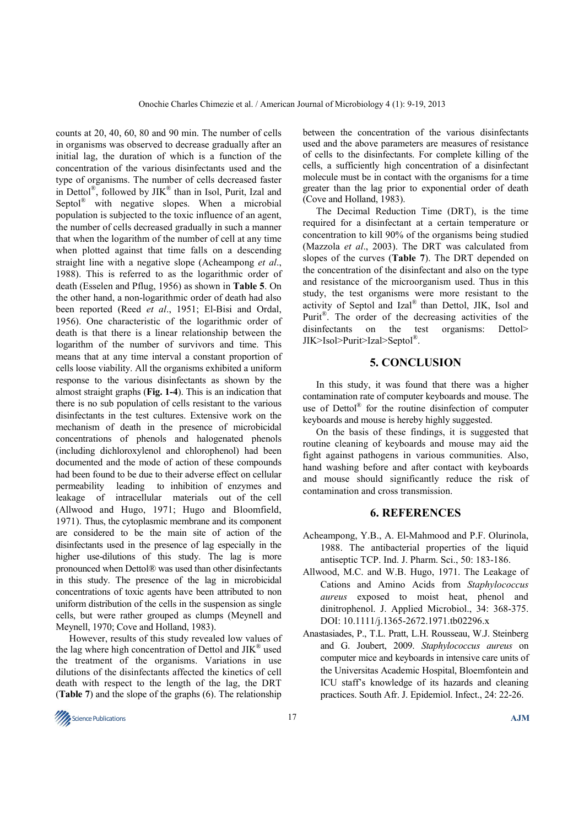counts at 20, 40, 60, 80 and 90 min. The number of cells in organisms was observed to decrease gradually after an initial lag, the duration of which is a function of the concentration of the various disinfectants used and the type of organisms. The number of cells decreased faster in Dettol®, followed by JIK<sup>®</sup> than in Isol, Purit, Izal and Septol<sup>®</sup> with negative slopes. When a microbial population is subjected to the toxic influence of an agent, the number of cells decreased gradually in such a manner that when the logarithm of the number of cell at any time when plotted against that time falls on a descending straight line with a negative slope (Acheampong *et al*., 1988). This is referred to as the logarithmic order of death (Esselen and Pflug, 1956) as shown in **Table 5**. On the other hand, a non-logarithmic order of death had also been reported (Reed *et al*., 1951; El-Bisi and Ordal, 1956). One characteristic of the logarithmic order of death is that there is a linear relationship between the logarithm of the number of survivors and time. This means that at any time interval a constant proportion of cells loose viability. All the organisms exhibited a uniform response to the various disinfectants as shown by the almost straight graphs (**Fig. 1-4**). This is an indication that there is no sub population of cells resistant to the various disinfectants in the test cultures. Extensive work on the mechanism of death in the presence of microbicidal concentrations of phenols and halogenated phenols (including dichloroxylenol and chlorophenol) had been documented and the mode of action of these compounds had been found to be due to their adverse effect on cellular permeability leading to inhibition of enzymes and leakage of intracellular materials out of the cell (Allwood and Hugo, 1971; Hugo and Bloomfield, 1971). Thus, the cytoplasmic membrane and its component are considered to be the main site of action of the disinfectants used in the presence of lag especially in the higher use-dilutions of this study. The lag is more pronounced when Dettol® was used than other disinfectants in this study. The presence of the lag in microbicidal concentrations of toxic agents have been attributed to non uniform distribution of the cells in the suspension as single cells, but were rather grouped as clumps (Meynell and Meynell, 1970; Cove and Holland, 1983).

However, results of this study revealed low values of the lag where high concentration of Dettol and  $JIK^{\circledast}$  used the treatment of the organisms. Variations in use dilutions of the disinfectants affected the kinetics of cell death with respect to the length of the lag, the DRT (**Table 7**) and the slope of the graphs (6). The relationship

between the concentration of the various disinfectants used and the above parameters are measures of resistance of cells to the disinfectants. For complete killing of the cells, a sufficiently high concentration of a disinfectant molecule must be in contact with the organisms for a time greater than the lag prior to exponential order of death (Cove and Holland, 1983).

The Decimal Reduction Time (DRT), is the time required for a disinfectant at a certain temperature or concentration to kill 90% of the organisms being studied (Mazzola *et al*., 2003). The DRT was calculated from slopes of the curves (**Table 7**). The DRT depended on the concentration of the disinfectant and also on the type and resistance of the microorganism used. Thus in this study, the test organisms were more resistant to the activity of Septol and Izal® than Dettol, JIK, Isol and Purit<sup>®</sup>. The order of the decreasing activities of the disinfectants on the test organisms: Dettol> JIK>Isol>Purit>Izal>Septol® .

## **5. CONCLUSION**

In this study, it was found that there was a higher contamination rate of computer keyboards and mouse. The use of Dettol® for the routine disinfection of computer keyboards and mouse is hereby highly suggested.

On the basis of these findings, it is suggested that routine cleaning of keyboards and mouse may aid the fight against pathogens in various communities. Also, hand washing before and after contact with keyboards and mouse should significantly reduce the risk of contamination and cross transmission.

### **6. REFERENCES**

- Acheampong, Y.B., A. El-Mahmood and P.F. Olurinola, 1988. The antibacterial properties of the liquid antiseptic TCP. Ind. J. Pharm. Sci., 50: 183-186.
- Allwood, M.C. and W.B. Hugo, 1971. The Leakage of Cations and Amino Acids from *Staphylococcus aureus* exposed to moist heat, phenol and dinitrophenol. J. Applied Microbiol., 34: 368-375. DOI: 10.1111/j.1365-2672.1971.tb02296.x
- Anastasiades, P., T.L. Pratt, L.H. Rousseau, W.J. Steinberg and G. Joubert, 2009. *Staphylococcus aureus* on computer mice and keyboards in intensive care units of the Universitas Academic Hospital, Bloemfontein and ICU staff's knowledge of its hazards and cleaning practices. South Afr. J. Epidemiol. Infect., 24: 22-26.

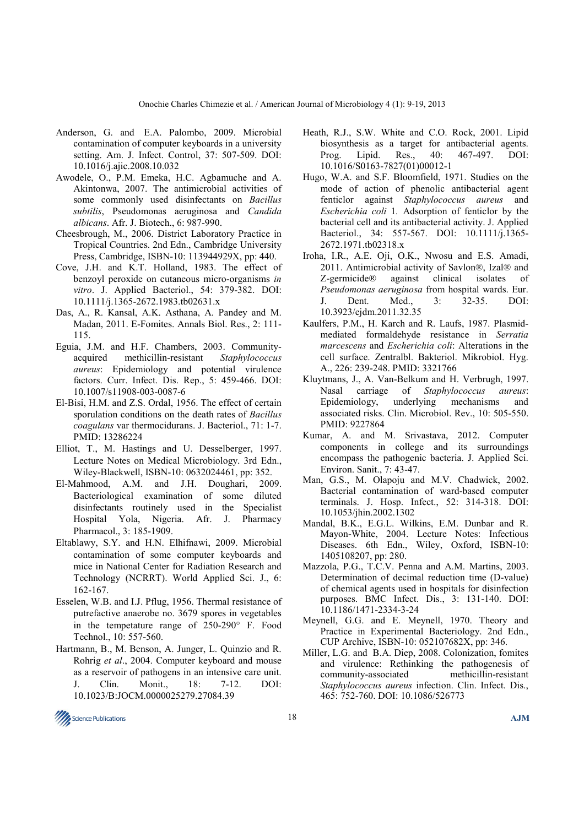- Anderson, G. and E.A. Palombo, 2009. Microbial contamination of computer keyboards in a university setting. Am. J. Infect. Control, 37: 507-509. DOI: 10.1016/j.ajic.2008.10.032
- Awodele, O., P.M. Emeka, H.C. Agbamuche and A. Akintonwa, 2007. The antimicrobial activities of some commonly used disinfectants on *Bacillus subtilis*, Pseudomonas aeruginosa and *Candida albicans*. Afr. J. Biotech., 6: 987-990.
- Cheesbrough, M., 2006. District Laboratory Practice in Tropical Countries. 2nd Edn., Cambridge University Press, Cambridge, ISBN-10: 113944929X, pp: 440.
- Cove, J.H. and K.T. Holland, 1983. The effect of benzoyl peroxide on cutaneous micro-organisms *in vitro*. J. Applied Bacteriol., 54: 379-382. DOI: 10.1111/j.1365-2672.1983.tb02631.x
- Das, A., R. Kansal, A.K. Asthana, A. Pandey and M. Madan, 2011. E-Fomites. Annals Biol. Res., 2: 111- 115.
- Eguia, J.M. and H.F. Chambers, 2003. Communityacquired methicillin-resistant *Staphylococcus aureus*: Epidemiology and potential virulence factors. Curr. Infect. Dis. Rep., 5: 459-466. DOI: 10.1007/s11908-003-0087-6
- El-Bisi, H.M. and Z.S. Ordal, 1956. The effect of certain sporulation conditions on the death rates of *Bacillus coagulans* var thermocidurans. J. Bacteriol., 71: 1-7. PMID: 13286224
- Elliot, T., M. Hastings and U. Desselberger, 1997. Lecture Notes on Medical Microbiology. 3rd Edn., Wiley-Blackwell, ISBN-10: 0632024461, pp: 352.
- El-Mahmood, A.M. and J.H. Doughari, 2009. Bacteriological examination of some diluted disinfectants routinely used in the Specialist Hospital Yola, Nigeria. Afr. J. Pharmacy Pharmacol., 3: 185-1909.
- Eltablawy, S.Y. and H.N. Elhifnawi, 2009. Microbial contamination of some computer keyboards and mice in National Center for Radiation Research and Technology (NCRRT). World Applied Sci. J., 6: 162-167.
- Esselen, W.B. and I.J. Pflug, 1956. Thermal resistance of putrefactive anaerobe no. 3679 spores in vegetables in the tempetature range of 250-290° F. Food Technol., 10: 557-560.
- Hartmann, B., M. Benson, A. Junger, L. Quinzio and R. Rohrig *et al*., 2004. Computer keyboard and mouse as a reservoir of pathogens in an intensive care unit. J. Clin. Monit., 18: 7-12. DOI: 10.1023/B:JOCM.0000025279.27084.39
- Heath, R.J., S.W. White and C.O. Rock, 2001. Lipid biosynthesis as a target for antibacterial agents. Prog. Lipid. Res., 40: 467-497. DOI: 10.1016/S0163-7827(01)00012-1
- Hugo, W.A. and S.F. Bloomfield, 1971. Studies on the mode of action of phenolic antibacterial agent fenticlor against *Staphylococcus aureus* and *Escherichia coli* 1*.* Adsorption of fenticlor by the bacterial cell and its antibacterial activity. J. Applied Bacteriol., 34: 557-567. DOI: 10.1111/j.1365- 2672.1971.tb02318.x
- Iroha, I.R., A.E. Oji, O.K., Nwosu and E.S. Amadi, 2011. Antimicrobial activity of Savlon®, Izal® and Z-germicide® against clinical isolates of *Pseudomonas aeruginosa* from hospital wards. Eur. J. Dent. Med., 3: 32-35. DOI: 10.3923/ejdm.2011.32.35
- Kaulfers, P.M., H. Karch and R. Laufs, 1987. Plasmidmediated formaldehyde resistance in *Serratia marcescens* and *Escherichia coli*: Alterations in the cell surface. Zentralbl. Bakteriol. Mikrobiol. Hyg. A., 226: 239-248. PMID: 3321766
- Kluytmans, J., A. Van-Belkum and H. Verbrugh, 1997. Nasal carriage of *Staphylococcus aureus*: Epidemiology, underlying mechanisms and associated risks. Clin. Microbiol. Rev., 10: 505-550. PMID: 9227864
- Kumar, A. and M. Srivastava, 2012. Computer components in college and its surroundings encompass the pathogenic bacteria. J. Applied Sci. Environ. Sanit., 7: 43-47.
- Man, G.S., M. Olapoju and M.V. Chadwick, 2002. Bacterial contamination of ward-based computer terminals. J. Hosp. Infect., 52: 314-318. DOI: 10.1053/jhin.2002.1302
- Mandal, B.K., E.G.L. Wilkins, E.M. Dunbar and R. Mayon-White, 2004. Lecture Notes: Infectious Diseases. 6th Edn., Wiley, Oxford, ISBN-10: 1405108207, pp: 280.
- Mazzola, P.G., T.C.V. Penna and A.M. Martins, 2003. Determination of decimal reduction time (D-value) of chemical agents used in hospitals for disinfection purposes. BMC Infect. Dis., 3: 131-140. DOI: 10.1186/1471-2334-3-24
- Meynell, G.G. and E. Meynell, 1970. Theory and Practice in Experimental Bacteriology. 2nd Edn., CUP Archive, ISBN-10: 052107682X, pp: 346.
- Miller, L.G. and B.A. Diep, 2008. Colonization, fomites and virulence: Rethinking the pathogenesis of community-associated methicillin-resistant *Staphylococcus aureus* infection. Clin. Infect. Dis., 465: 752-760. DOI: 10.1086/526773